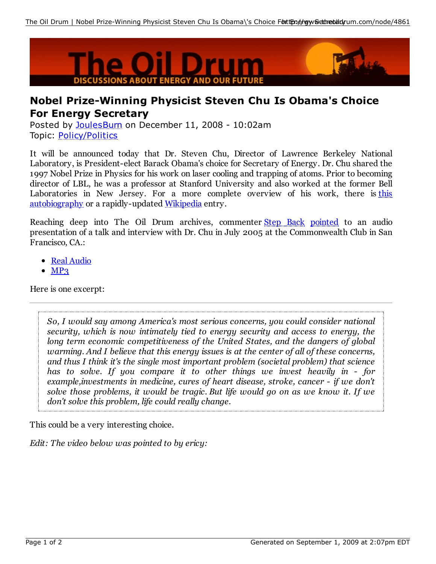

## **Nobel Prize-Winning Physicist Steven Chu Is Obama's Choice For Energy Secretary**

Posted by JoulesBurn on December 11, 2008 - 10:02am Topic: Policy/Politics

It will be announced today that Dr. Steven Chu, Director of Lawrence Berkeley National Laboratory, is President-elect Barack Obama's choice for Secretary of Energy. Dr. Chu shared the 1997 Nobel Prize in Physics for his work on laser cooling and trapping of atoms. Prior to becoming director of LBL, he was a professor at Stanford University and also worked at the former Bell Laboratories in New Jersey. For a more complete overview of his work, there is this autobiography or a rapidly-updated Wikipedia entry.

Reaching deep into The Oil Drum archives, commenter Step Back pointed to an audio presentation of a talk and interview with Dr. Chu in July 2005 at the Commonwealth Club in San Francisco, CA.:

- Real Audio
- $\bullet$  MP<sub>3</sub>

Here is one excerpt:

*So, I would say among America's most serious concerns, you could consider national security, which is now intimately tied to energy security and access to energy, the long term economic competitiveness of the United States, and the dangers of global warming. And I believe that this energy issues is at the center of all of these concerns, and thus I think it's the single most important problem (societal problem) that science has to solve. If you compare it to other things we invest heavily in - for example,investments in medicine, cures of heart disease, stroke, cancer - if we don't solve those problems, it would be tragic. But life would go on as we know it. If we don't solve this problem, life could really change.*

This could be a very interesting choice.

*Edit: The video below was pointed to by ericy:*